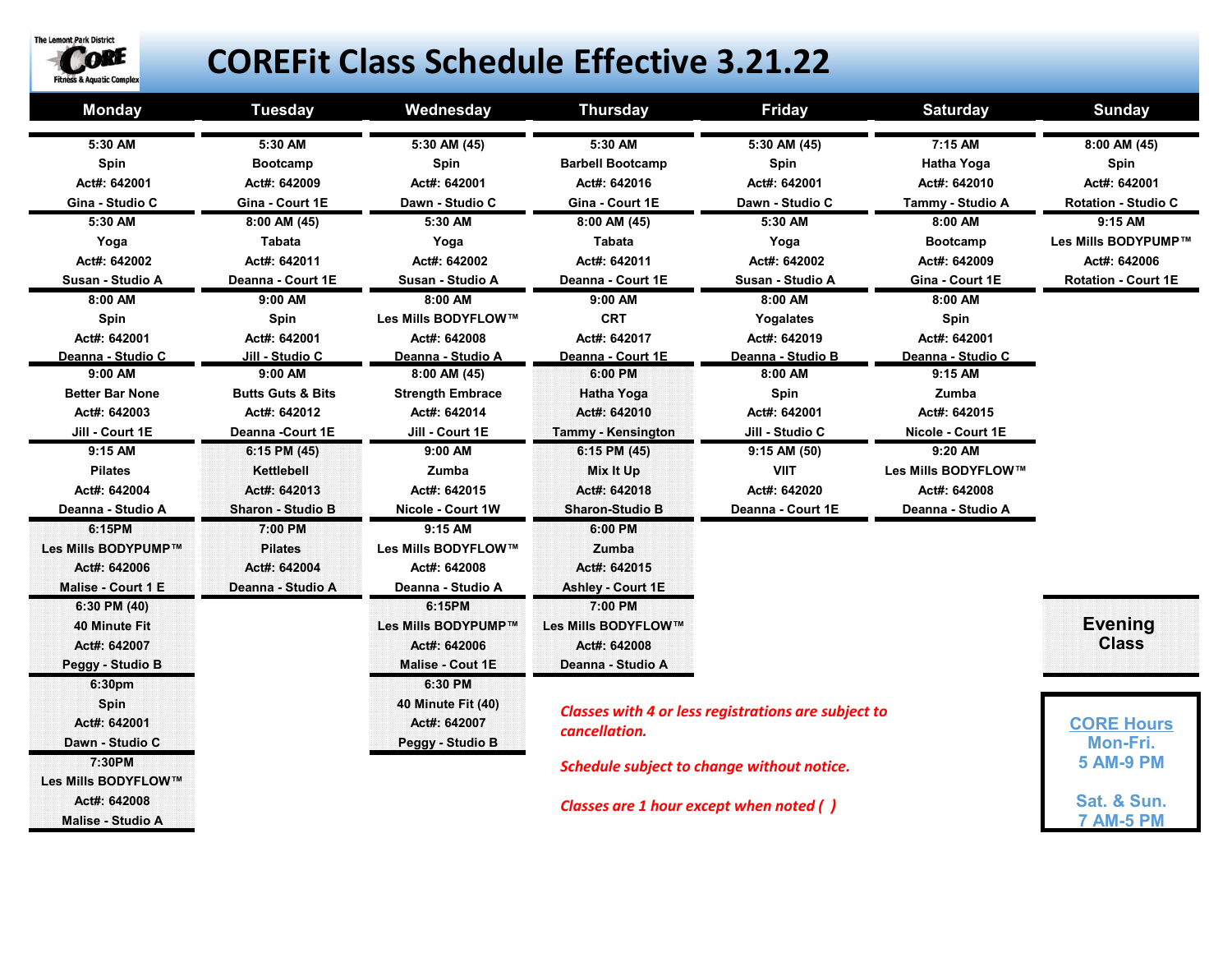

## **COREFit Class Schedule Effective 3.21.22**

| <b>Monday</b>            | <b>Tuesday</b>                             | Wednesday                                                                        | <b>Thursday</b>           | <b>Friday</b>     | <b>Saturday</b>     | <b>Sunday</b>              |
|--------------------------|--------------------------------------------|----------------------------------------------------------------------------------|---------------------------|-------------------|---------------------|----------------------------|
| 5:30 AM                  | 5:30 AM                                    | $5:30$ AM $(45)$                                                                 | 5:30 AM                   | $5:30$ AM $(45)$  | 7:15 AM             | $8:00$ AM $(45)$           |
| Spin                     | <b>Bootcamp</b>                            | Spin                                                                             | <b>Barbell Bootcamp</b>   | Spin              | <b>Hatha Yoga</b>   | Spin                       |
| Act#: 642001             | Act#: 642009                               | Act#: 642001                                                                     | Act#: 642016              | Act#: 642001      | Act#: 642010        | Act#: 642001               |
| Gina - Studio C          | Gina - Court 1E                            | Dawn - Studio C                                                                  | Gina - Court 1E           | Dawn - Studio C   | Tammy - Studio A    | <b>Rotation - Studio C</b> |
| 5:30 AM                  | 8:00 AM (45)                               | 5:30 AM                                                                          | 8:00 AM (45)              | 5:30 AM           | 8:00 AM             | 9:15 AM                    |
| Yoga                     | Tabata                                     | Yoga                                                                             | Tabata                    | Yoga              | <b>Bootcamp</b>     | Les Mills BODYPUMP™        |
| Act#: 642002             | Act#: 642011                               | Act#: 642002                                                                     | Act#: 642011              | Act#: 642002      | Act#: 642009        | Act#: 642006               |
| Susan - Studio A         | Deanna - Court 1E                          | Susan - Studio A                                                                 | Deanna - Court 1E         | Susan - Studio A  | Gina - Court 1E     | <b>Rotation - Court 1E</b> |
| 8:00 AM                  | 9:00 AM                                    | 8:00 AM                                                                          | 9:00 AM                   | 8:00 AM           | 8:00 AM             |                            |
| Spin                     | Spin                                       | Les Mills BODYFLOW™                                                              | <b>CRT</b>                | Yogalates         | Spin                |                            |
| Act#: 642001             | Act#: 642001                               | Act#: 642008                                                                     | Act#: 642017              | Act#: 642019      | Act#: 642001        |                            |
| Deanna - Studio C        | Jill - Studio C                            | Deanna - Studio A                                                                | Deanna - Court 1E         | Deanna - Studio B | Deanna - Studio C   |                            |
| 9:00 AM                  | 9:00 AM                                    | $8:00$ AM $(45)$                                                                 | 6:00 PM                   | 8:00 AM           | 9:15 AM             |                            |
| <b>Better Bar None</b>   | <b>Butts Guts &amp; Bits</b>               | <b>Strength Embrace</b>                                                          | Hatha Yoga                | Spin              | Zumba               |                            |
| Act#: 642003             | Act#: 642012                               | Act#: 642014                                                                     | Act#: 642010              | Act#: 642001      | Act#: 642015        |                            |
| Jill - Court 1E          | Deanna - Court 1E                          | Jill - Court 1E                                                                  | <b>Tammy - Kensington</b> | Jill - Studio C   | Nicole - Court 1E   |                            |
| 9:15 AM                  | 6:15 PM (45)                               | 9:00 AM                                                                          | 6:15 PM (45)              | 9:15 AM (50)      | 9:20 AM             |                            |
| <b>Pilates</b>           | Kettlebell                                 | Zumba                                                                            | Mix It Up                 | <b>VIIT</b>       | Les Mills BODYFLOW™ |                            |
| Act#: 642004             | Act#: 642013                               | Act#: 642015                                                                     | Act#: 642018              | Act#: 642020      | Act#: 642008        |                            |
| Deanna - Studio A        | Sharon - Studio B                          | Nicole - Court 1W                                                                | <b>Sharon-Studio B</b>    | Deanna - Court 1E | Deanna - Studio A   |                            |
| 6:15PM                   | 7:00 PM                                    | 9:15 AM                                                                          | 6:00 PM                   |                   |                     |                            |
| Les Mills BODYPUMP™      | <b>Pilates</b>                             | Les Mills BODYFLOW™                                                              | Zumba                     |                   |                     |                            |
| Act#: 642006             | Act#: 642004                               | Act#: 642008                                                                     | Act#: 642015              |                   |                     |                            |
| Malise - Court 1 E       | Deanna - Studio A                          | Deanna - Studio A                                                                | <b>Ashley - Court 1E</b>  |                   |                     |                            |
| 6:30 PM (40)             |                                            | 6:15PM                                                                           | 7:00 PM                   |                   |                     |                            |
| 40 Minute Fit            |                                            | Les Mills BODYPUMP™                                                              | Les Mills BODYFLOW™       |                   |                     | <b>Evening</b>             |
| Act#: 642007             |                                            | Act#: 642006                                                                     | Act#: 642008              |                   |                     | <b>Class</b>               |
| Peggy - Studio B         |                                            | <b>Malise - Cout 1E</b>                                                          | Deanna - Studio A         |                   |                     |                            |
| 6:30pm                   |                                            | 6:30 PM                                                                          |                           |                   |                     |                            |
| Spin                     |                                            | 40 Minute Fit (40)<br><b>Classes with 4 or less registrations are subject to</b> |                           |                   |                     |                            |
| Act#: 642001             |                                            | Act#: 642007<br>cancellation.<br>Peggy - Studio B                                |                           |                   |                     | <b>CORE Hours</b>          |
| Dawn - Studio C          |                                            |                                                                                  |                           |                   |                     | Mon-Fri.                   |
| 7:30PM                   | Schedule subject to change without notice. |                                                                                  |                           |                   |                     | <b>5 AM-9 PM</b>           |
| Les Mills BODYFLOW™      |                                            |                                                                                  |                           |                   |                     |                            |
| Act#: 642008             | Classes are 1 hour except when noted ()    |                                                                                  |                           |                   |                     | Sat. & Sun.                |
| <b>Malise - Studio A</b> |                                            |                                                                                  |                           |                   |                     | <b>7 AM-5 PM</b>           |